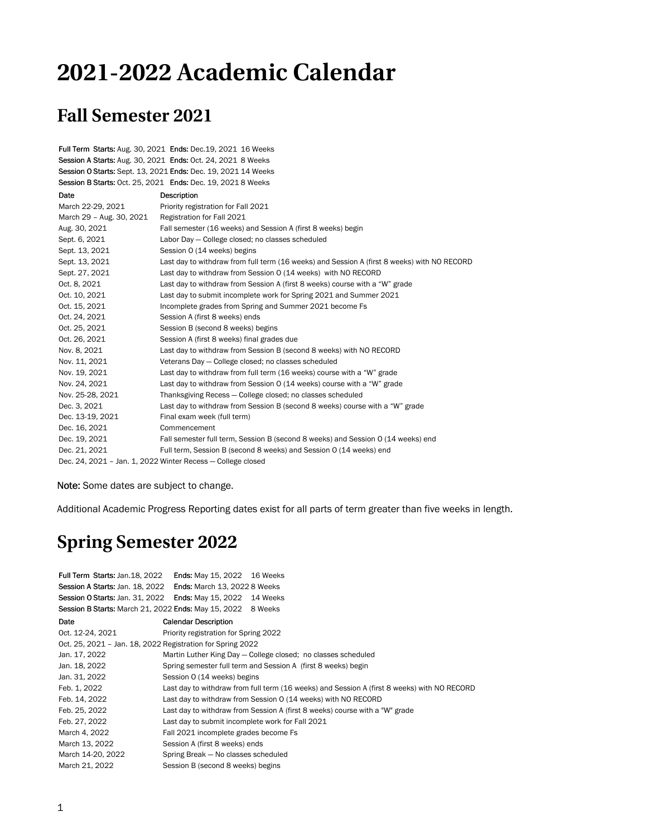## **2021-2022 Academic Calendar**

## **Fall Semester 2021**

Full Term Starts: Aug. 30, 2021 Ends: Dec.19, 2021 16 Weeks Session A Starts: Aug. 30, 2021 Ends: Oct. 24, 2021 8 Weeks Session O Starts: Sept. 13, 2021 Ends: Dec. 19, 2021 14 Weeks Session B Starts: Oct. 25, 2021 Ends: Dec. 19, 2021 8 Weeks

| Date                                                        | Description                                                                                 |  |
|-------------------------------------------------------------|---------------------------------------------------------------------------------------------|--|
| March 22-29, 2021                                           | Priority registration for Fall 2021                                                         |  |
| March 29 - Aug. 30, 2021                                    | Registration for Fall 2021                                                                  |  |
| Aug. 30, 2021                                               | Fall semester (16 weeks) and Session A (first 8 weeks) begin                                |  |
| Sept. 6, 2021                                               | Labor Day - College closed; no classes scheduled                                            |  |
| Sept. 13, 2021                                              | Session 0 (14 weeks) begins                                                                 |  |
| Sept. 13, 2021                                              | Last day to withdraw from full term (16 weeks) and Session A (first 8 weeks) with NO RECORD |  |
| Sept. 27, 2021                                              | Last day to withdraw from Session O (14 weeks) with NO RECORD                               |  |
| Oct. 8, 2021                                                | Last day to withdraw from Session A (first 8 weeks) course with a "W" grade                 |  |
| Oct. 10, 2021                                               | Last day to submit incomplete work for Spring 2021 and Summer 2021                          |  |
| Oct. 15, 2021                                               | Incomplete grades from Spring and Summer 2021 become Fs                                     |  |
| Oct. 24, 2021                                               | Session A (first 8 weeks) ends                                                              |  |
| Oct. 25, 2021                                               | Session B (second 8 weeks) begins                                                           |  |
| Oct. 26, 2021                                               | Session A (first 8 weeks) final grades due                                                  |  |
| Nov. 8, 2021                                                | Last day to withdraw from Session B (second 8 weeks) with NO RECORD                         |  |
| Nov. 11, 2021                                               | Veterans Day - College closed; no classes scheduled                                         |  |
| Nov. 19, 2021                                               | Last day to withdraw from full term (16 weeks) course with a "W" grade                      |  |
| Nov. 24, 2021                                               | Last day to withdraw from Session 0 (14 weeks) course with a "W" grade                      |  |
| Nov. 25-28, 2021                                            | Thanksgiving Recess - College closed; no classes scheduled                                  |  |
| Dec. 3, 2021                                                | Last day to withdraw from Session B (second 8 weeks) course with a "W" grade                |  |
| Dec. 13-19, 2021                                            | Final exam week (full term)                                                                 |  |
| Dec. 16, 2021                                               | Commencement                                                                                |  |
| Dec. 19, 2021                                               | Fall semester full term, Session B (second 8 weeks) and Session 0 (14 weeks) end            |  |
| Dec. 21, 2021                                               | Full term, Session B (second 8 weeks) and Session 0 (14 weeks) end                          |  |
| Dec. 24, 2021 - Jan. 1, 2022 Winter Recess - College closed |                                                                                             |  |

Note: Some dates are subject to change.

Additional Academic Progress Reporting dates exist for all parts of term greater than five weeks in length.

## **Spring Semester 2022**

| Full Term Starts: Jan.18, 2022                              | Ends: May 15, 2022 16 Weeks                                                                 |  |  |
|-------------------------------------------------------------|---------------------------------------------------------------------------------------------|--|--|
| Session A Starts: Jan. 18, 2022                             | <b>Ends: March 13, 2022 8 Weeks</b>                                                         |  |  |
|                                                             | Session 0 Starts: Jan. 31, 2022    Ends: May 15, 2022    14 Weeks                           |  |  |
| Session B Starts: March 21, 2022 Ends: May 15, 2022 8 Weeks |                                                                                             |  |  |
| Date                                                        | <b>Calendar Description</b>                                                                 |  |  |
| Oct. 12-24, 2021                                            | Priority registration for Spring 2022                                                       |  |  |
| Oct. 25, 2021 - Jan. 18, 2022 Registration for Spring 2022  |                                                                                             |  |  |
| Jan. 17, 2022                                               | Martin Luther King Day – College closed; no classes scheduled                               |  |  |
| Jan. 18, 2022                                               | Spring semester full term and Session A (first 8 weeks) begin                               |  |  |
| Jan. 31, 2022                                               | Session 0 (14 weeks) begins                                                                 |  |  |
| Feb. 1, 2022                                                | Last day to withdraw from full term (16 weeks) and Session A (first 8 weeks) with NO RECORD |  |  |
| Feb. 14, 2022                                               | Last day to withdraw from Session O (14 weeks) with NO RECORD                               |  |  |
| Feb. 25, 2022                                               | Last day to withdraw from Session A (first 8 weeks) course with a "W" grade                 |  |  |
| Feb. 27, 2022                                               | Last day to submit incomplete work for Fall 2021                                            |  |  |
| March 4, 2022                                               | Fall 2021 incomplete grades become Fs                                                       |  |  |
| March 13, 2022                                              | Session A (first 8 weeks) ends                                                              |  |  |
| March 14-20, 2022                                           | Spring Break - No classes scheduled                                                         |  |  |
| March 21, 2022                                              | Session B (second 8 weeks) begins                                                           |  |  |
|                                                             |                                                                                             |  |  |